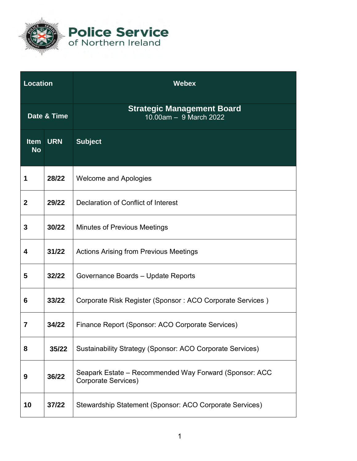

**Police Service**<br>of Northern Ireland

| <b>Location</b>          |            | <b>Webex</b>                                                                  |
|--------------------------|------------|-------------------------------------------------------------------------------|
| Date & Time              |            | <b>Strategic Management Board</b><br>10.00am - 9 March 2022                   |
| <b>Item</b><br><b>No</b> | <b>URN</b> | <b>Subject</b>                                                                |
| 1                        | 28/22      | <b>Welcome and Apologies</b>                                                  |
| $\mathbf{2}$             | 29/22      | Declaration of Conflict of Interest                                           |
| 3                        | 30/22      | <b>Minutes of Previous Meetings</b>                                           |
| 4                        | 31/22      | <b>Actions Arising from Previous Meetings</b>                                 |
| 5                        | 32/22      | Governance Boards - Update Reports                                            |
| 6                        | 33/22      | Corporate Risk Register (Sponsor: ACO Corporate Services)                     |
| 7                        | 34/22      | Finance Report (Sponsor: ACO Corporate Services)                              |
| 8                        | 35/22      | Sustainability Strategy (Sponsor: ACO Corporate Services)                     |
| 9                        | 36/22      | Seapark Estate – Recommended Way Forward (Sponsor: ACC<br>Corporate Services) |
| 10                       | 37/22      | Stewardship Statement (Sponsor: ACO Corporate Services)                       |